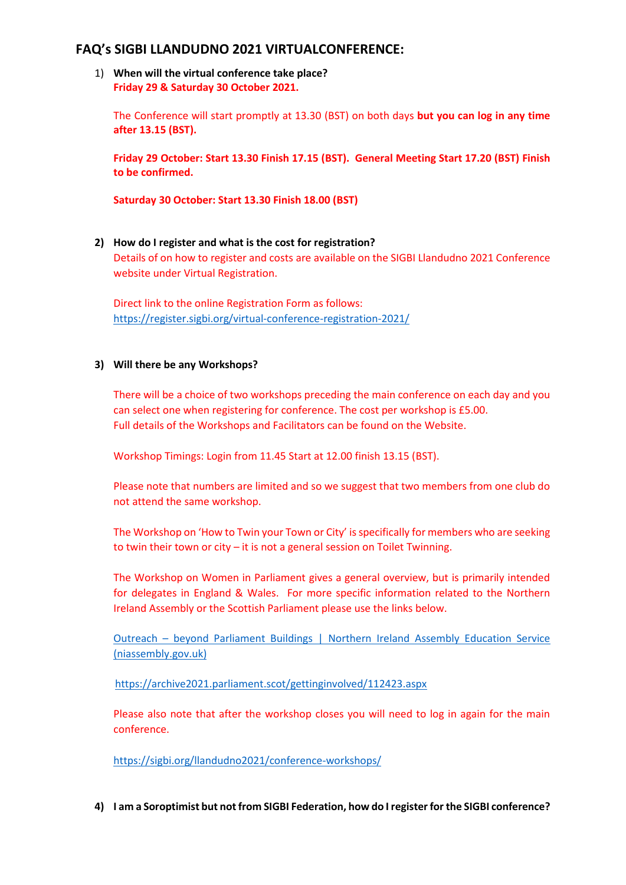# **FAQ's SIGBI LLANDUDNO 2021 VIRTUALCONFERENCE:**

1) **When will the virtual conference take place? Friday 29 & Saturday 30 October 2021.**

The Conference will start promptly at 13.30 (BST) on both days **but you can log in any time after 13.15 (BST).**

**Friday 29 October: Start 13.30 Finish 17.15 (BST). General Meeting Start 17.20 (BST) Finish to be confirmed.**

**Saturday 30 October: Start 13.30 Finish 18.00 (BST)**

**2) How do I register and what is the cost for registration?** Details of on how to register and costs are available on the SIGBI Llandudno 2021 Conference website under Virtual Registration.

Direct link to the online Registration Form as follows: <https://register.sigbi.org/virtual-conference-registration-2021/>

### **3) Will there be any Workshops?**

There will be a choice of two workshops preceding the main conference on each day and you can select one when registering for conference. The cost per workshop is £5.00. Full details of the Workshops and Facilitators can be found on the Website.

Workshop Timings: Login from 11.45 Start at 12.00 finish 13.15 (BST).

Please note that numbers are limited and so we suggest that two members from one club do not attend the same workshop.

The Workshop on 'How to Twin your Town or City' is specifically for members who are seeking to twin their town or city – it is not a general session on Toilet Twinning.

The Workshop on Women in Parliament gives a general overview, but is primarily intended for delegates in England & Wales. For more specific information related to the Northern Ireland Assembly or the Scottish Parliament please use the links below.

Outreach – beyond Parliament Buildings [| Northern Ireland Assembly Education Service](https://education.niassembly.gov.uk/outreach)  [\(niassembly.gov.uk\)](https://education.niassembly.gov.uk/outreach)

<https://archive2021.parliament.scot/gettinginvolved/112423.aspx>

Please also note that after the workshop closes you will need to log in again for the main conference.

<https://sigbi.org/llandudno2021/conference-workshops/>

**4) I am a Soroptimist but not from SIGBI Federation, how do I register for the SIGBI conference?**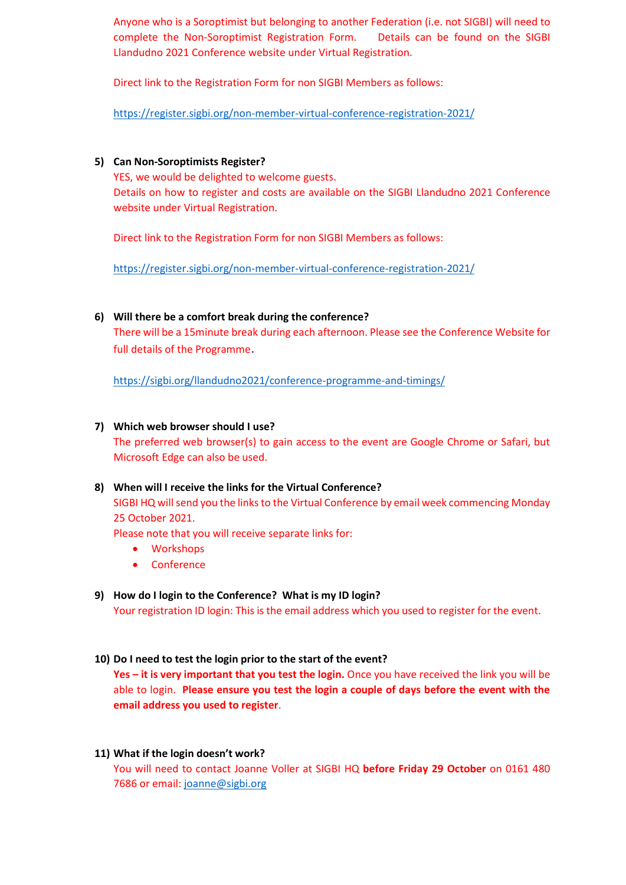Anyone who is a Soroptimist but belonging to another Federation (i.e. not SIGBI) will need to complete the Non-Soroptimist Registration Form. Details can be found on the SIGBI Llandudno 2021 Conference website under Virtual Registration.

Direct link to the Registration Form for non SIGBI Members as follows:

<https://register.sigbi.org/non-member-virtual-conference-registration-2021/>

**5) Can Non-Soroptimists Register?**

YES, we would be delighted to welcome guests. Details on how to register and costs are available on the SIGBI Llandudno 2021 Conference website under Virtual Registration.

Direct link to the Registration Form for non SIGBI Members as follows:

<https://register.sigbi.org/non-member-virtual-conference-registration-2021/>

**6) Will there be a comfort break during the conference?** There will be a 15minute break during each afternoon. Please see the Conference Website for full details of the Programme.

<https://sigbi.org/llandudno2021/conference-programme-and-timings/>

## **7) Which web browser should I use?**

The preferred web browser(s) to gain access to the event are Google Chrome or Safari, but Microsoft Edge can also be used.

## **8) When will I receive the links for the Virtual Conference?**

SIGBI HQ will send you the links to the Virtual Conference by email week commencing Monday 25 October 2021.

Please note that you will receive separate links for:

- Workshops
- Conference

## **9) How do I login to the Conference? What is my ID login?**

Your registration ID login: This is the email address which you used to register for the event.

### **10) Do I need to test the login prior to the start of the event?**

**Yes – it is very important that you test the login.** Once you have received the link you will be able to login. **Please ensure you test the login a couple of days before the event with the email address you used to register**.

**11) What if the login doesn't work?**

You will need to contact Joanne Voller at SIGBI HQ **before Friday 29 October** on 0161 480 7686 or email: [joanne@sigbi.org](mailto:joanne@sigbi.org)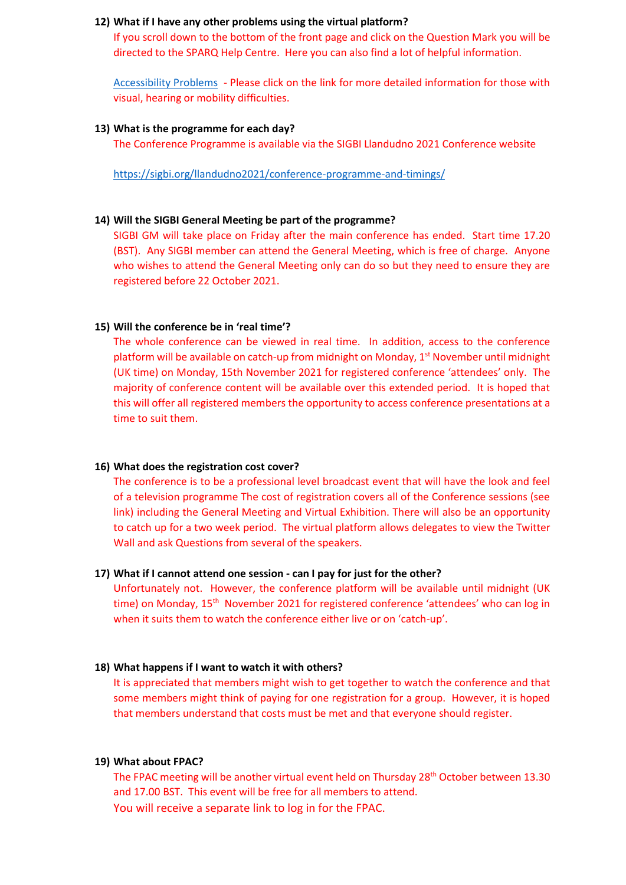#### **12) What if I have any other problems using the virtual platform?**

If you scroll down to the bottom of the front page and click on the Question Mark you will be directed to the SPARQ Help Centre. Here you can also find a lot of helpful information.

[Accessibility Problems](https://sigbi.org/llandudno2021/files/2021/07/Accessibility.pdf) - Please click on the link for more detailed information for those with visual, hearing or mobility difficulties.

#### **13) What is the programme for each day?**

The Conference Programme is available via the SIGBI Llandudno 2021 Conference website

<https://sigbi.org/llandudno2021/conference-programme-and-timings/>

#### **14) Will the SIGBI General Meeting be part of the programme?**

SIGBI GM will take place on Friday after the main conference has ended. Start time 17.20 (BST). Any SIGBI member can attend the General Meeting, which is free of charge. Anyone who wishes to attend the General Meeting only can do so but they need to ensure they are registered before 22 October 2021.

#### **15) Will the conference be in 'real time'?**

The whole conference can be viewed in real time. In addition, access to the conference platform will be available on catch-up from midnight on Monday,  $1<sup>st</sup>$  November until midnight (UK time) on Monday, 15th November 2021 for registered conference 'attendees' only. The majority of conference content will be available over this extended period. It is hoped that this will offer all registered members the opportunity to access conference presentations at a time to suit them.

#### **16) What does the registration cost cover?**

The conference is to be a professional level broadcast event that will have the look and feel of a television programme The cost of registration covers all of the Conference sessions (see link) including the General Meeting and Virtual Exhibition. There will also be an opportunity to catch up for a two week period. The virtual platform allows delegates to view the Twitter Wall and ask Questions from several of the speakers.

#### **17) What if I cannot attend one session - can I pay for just for the other?**

Unfortunately not. However, the conference platform will be available until midnight (UK time) on Monday, 15<sup>th</sup> November 2021 for registered conference 'attendees' who can log in when it suits them to watch the conference either live or on 'catch-up'.

#### **18) What happens if I want to watch it with others?**

It is appreciated that members might wish to get together to watch the conference and that some members might think of paying for one registration for a group. However, it is hoped that members understand that costs must be met and that everyone should register.

#### **19) What about FPAC?**

The FPAC meeting will be another virtual event held on Thursday 28<sup>th</sup> October between 13.30 and 17.00 BST. This event will be free for all members to attend. You will receive a separate link to log in for the FPAC.